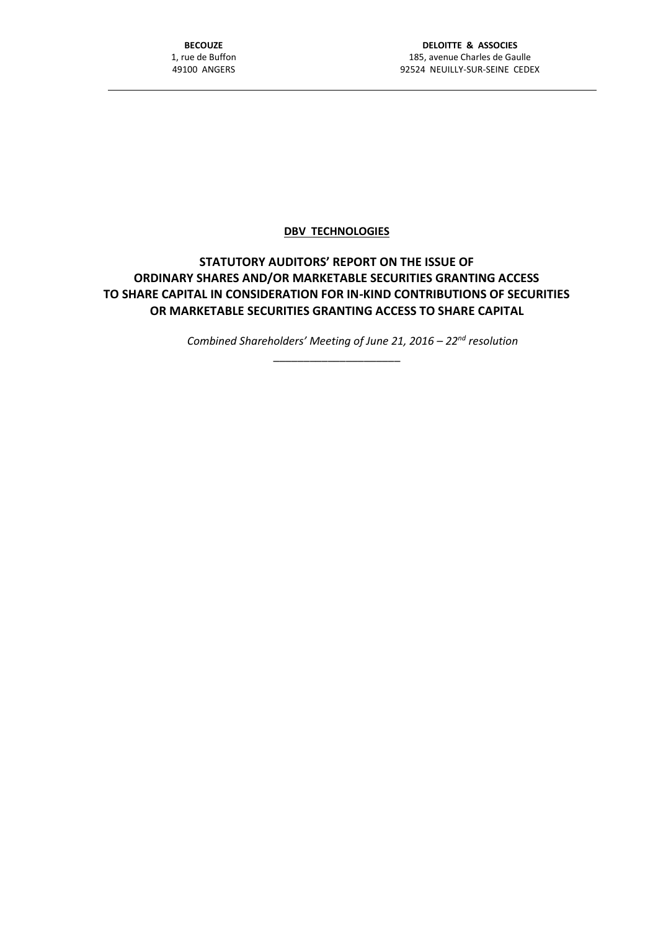## **DBV TECHNOLOGIES**

## **STATUTORY AUDITORS' REPORT ON THE ISSUE OF ORDINARY SHARES AND/OR MARKETABLE SECURITIES GRANTING ACCESS TO SHARE CAPITAL IN CONSIDERATION FOR IN-KIND CONTRIBUTIONS OF SECURITIES OR MARKETABLE SECURITIES GRANTING ACCESS TO SHARE CAPITAL**

\_\_\_\_\_\_\_\_\_\_\_\_\_\_\_\_\_\_\_\_\_

*Combined Shareholders' Meeting of June 21, 2016 – 22nd resolution*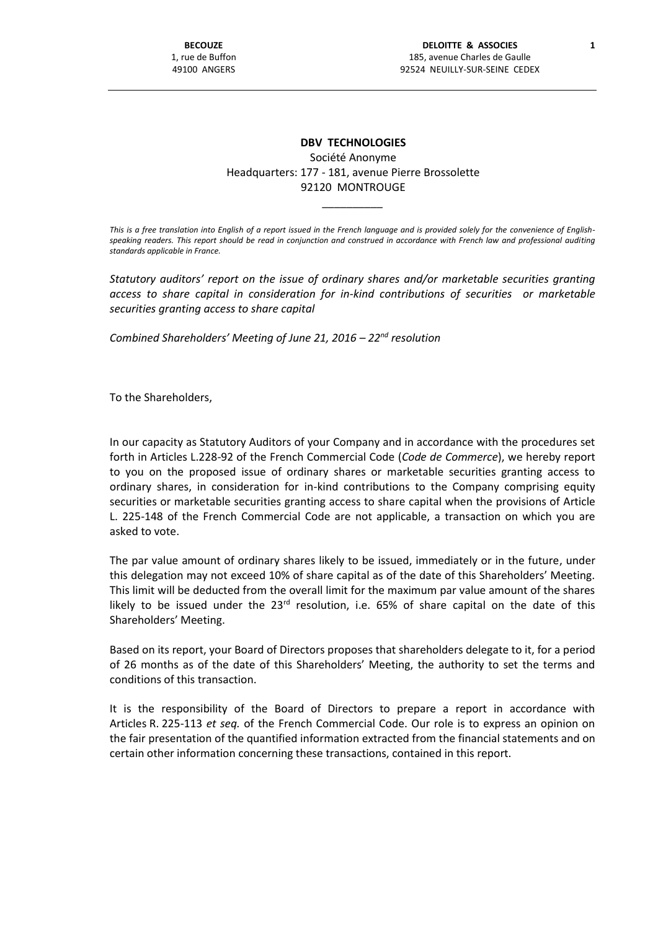## **DBV TECHNOLOGIES** Société Anonyme Headquarters: 177 - 181, avenue Pierre Brossolette 92120 MONTROUGE

*This is a free translation into English of a report issued in the French language and is provided solely for the convenience of Englishspeaking readers. This report should be read in conjunction and construed in accordance with French law and professional auditing standards applicable in France.*

\_\_\_\_\_\_\_\_\_\_

*Statutory auditors' report on the issue of ordinary shares and/or marketable securities granting access to share capital in consideration for in-kind contributions of securities or marketable securities granting access to share capital*

*Combined Shareholders' Meeting of June 21, 2016 – 22nd resolution*

To the Shareholders,

In our capacity as Statutory Auditors of your Company and in accordance with the procedures set forth in Articles L.228-92 of the French Commercial Code (*Code de Commerce*), we hereby report to you on the proposed issue of ordinary shares or marketable securities granting access to ordinary shares, in consideration for in-kind contributions to the Company comprising equity securities or marketable securities granting access to share capital when the provisions of Article L. 225-148 of the French Commercial Code are not applicable, a transaction on which you are asked to vote.

The par value amount of ordinary shares likely to be issued, immediately or in the future, under this delegation may not exceed 10% of share capital as of the date of this Shareholders' Meeting. This limit will be deducted from the overall limit for the maximum par value amount of the shares likely to be issued under the  $23<sup>rd</sup>$  resolution, i.e. 65% of share capital on the date of this Shareholders' Meeting.

Based on its report, your Board of Directors proposes that shareholders delegate to it, for a period of 26 months as of the date of this Shareholders' Meeting, the authority to set the terms and conditions of this transaction.

It is the responsibility of the Board of Directors to prepare a report in accordance with Articles R. 225-113 *et seq.* of the French Commercial Code. Our role is to express an opinion on the fair presentation of the quantified information extracted from the financial statements and on certain other information concerning these transactions, contained in this report.